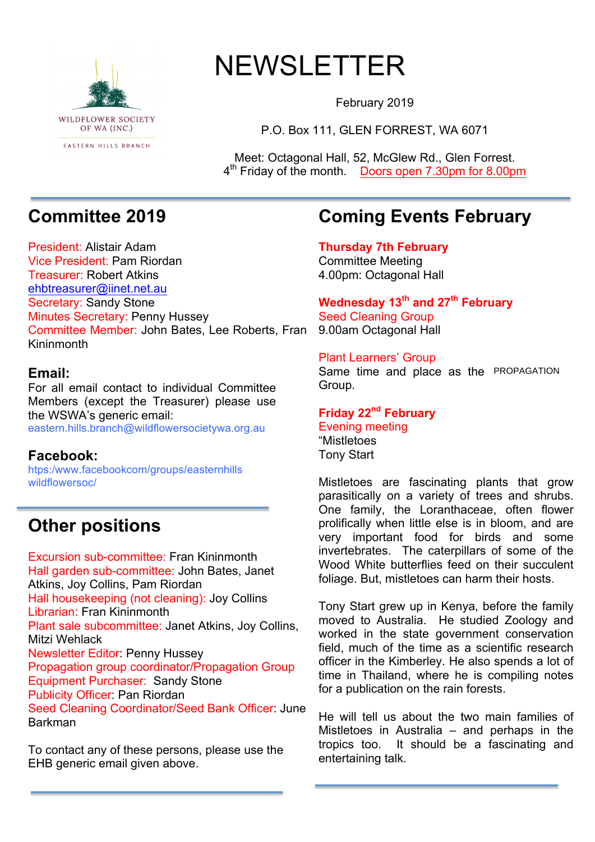

# NEWSLETTER

February 2019

P.O. Box 111, GLEN FORREST, WA 6071

Meet: Octagonal Hall, 52, McGlew Rd., Glen Forrest. 4<sup>th</sup> Friday of the month. Doors open 7.30pm for 8.00pm

# **Committee 2019**

President: Alistair Adam Vice President: Pam Riordan Treasurer: Robert Atkins ehbtreasurer@iinet.net.au Secretary: Sandy Stone Minutes Secretary: Penny Hussey Committee Member: John Bates, Lee Roberts, Fran Kininmonth

### **Email:**

For all email contact to individual Committee Members (except the Treasurer) please use the WSWA's generic email: eastern.hills.branch@wildflowersocietywa.org.au

### **Facebook:**

htps:/www.facebookcom/groups/easternhills wildflowersoc/

# **Other positions**

Excursion sub-committee: Fran Kininmonth Hall garden sub-committee: John Bates, Janet Atkins, Joy Collins, Pam Riordan Hall housekeeping (not cleaning): Joy Collins Librarian: Fran Kininmonth Plant sale subcommittee: Janet Atkins, Joy Collins, Mitzi Wehlack Newsletter Editor: Penny Hussey Propagation group coordinator/Propagation Group Equipment Purchaser: Sandy Stone Publicity Officer: Pan Riordan Seed Cleaning Coordinator/Seed Bank Officer: June Barkman

To contact any of these persons, please use the EHB generic email given above.

## **Coming Events February**

**Thursday 7th February** Committee Meeting 4.00pm: Octagonal Hall

**Wednesday 13th and 27th February** Seed Cleaning Group 9.00am Octagonal Hall

### Plant Learners' Group

Same time and place as the PROPAGATIONGroup.

### **Friday 22nd February**

Evening meeting "Mistletoes Tony Start

Mistletoes are fascinating plants that grow parasitically on a variety of trees and shrubs. One family, the Loranthaceae, often flower prolifically when little else is in bloom, and are very important food for birds and some invertebrates. The caterpillars of some of the Wood White butterflies feed on their succulent foliage. But, mistletoes can harm their hosts.

Tony Start grew up in Kenya, before the family moved to Australia. He studied Zoology and worked in the state government conservation field, much of the time as a scientific research officer in the Kimberley. He also spends a lot of time in Thailand, where he is compiling notes for a publication on the rain forests.

He will tell us about the two main families of Mistletoes in Australia – and perhaps in the tropics too. It should be a fascinating and entertaining talk.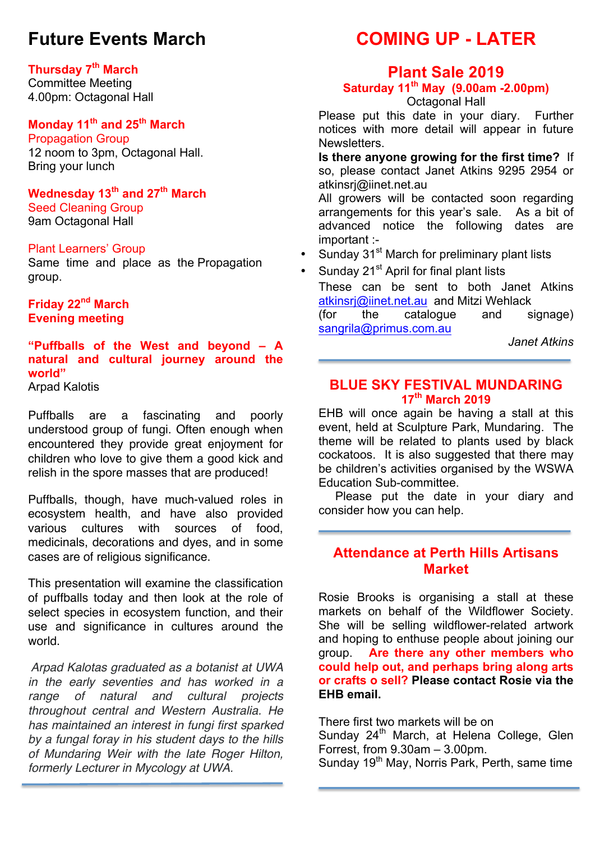# **Future Events March**

### **Thursday 7th March**

Committee Meeting 4.00pm: Octagonal Hall

### **Monday 11th and 25th March**

Propagation Group 12 noom to 3pm, Octagonal Hall. Bring your lunch

**Wednesday 13th and 27th March** Seed Cleaning Group 9am Octagonal Hall

### Plant Learners' Group

Same time and place as the Propagation group.

**Friday 22nd March Evening meeting**

### **"Puffballs of the West and beyond – A natural and cultural journey around the world"**

Arpad Kalotis

Puffballs are a fascinating and poorly understood group of fungi. Often enough when encountered they provide great enjoyment for children who love to give them a good kick and relish in the spore masses that are produced!

Puffballs, though, have much-valued roles in ecosystem health, and have also provided various cultures with sources of food, medicinals, decorations and dyes, and in some cases are of religious significance.

This presentation will examine the classification of puffballs today and then look at the role of select species in ecosystem function, and their use and significance in cultures around the world.

*Arpad Kalotas graduated as a botanist at UWA in the early seventies and has worked in a range of natural and cultural projects throughout central and Western Australia. He has maintained an interest in fungi first sparked by a fungal foray in his student days to the hills of Mundaring Weir with the late Roger Hilton, formerly Lecturer in Mycology at UWA.*

# **COMING UP - LATER**

### **Plant Sale 2019**

# **Saturday 11th May (9.00am -2.00pm)**

Octagonal Hall

Please put this date in your diary. Further notices with more detail will appear in future Newsletters.

**Is there anyone growing for the first time?** If so, please contact Janet Atkins 9295 2954 or atkinsrj@iinet.net.au

All growers will be contacted soon regarding arrangements for this year's sale. As a bit of advanced notice the following dates are important :-

- Sunday 31<sup>st</sup> March for preliminary plant lists
	- Sunday 21<sup>st</sup> April for final plant lists These can be sent to both Janet Atkins atkinsrj@iinet.net.au and Mitzi Wehlack (for the catalogue and signage) sangrila@primus.com.au

*Janet Atkins*

### **BLUE SKY FESTIVAL MUNDARING 17th March 2019**

EHB will once again be having a stall at this event, held at Sculpture Park, Mundaring. The theme will be related to plants used by black cockatoos. It is also suggested that there may be children's activities organised by the WSWA Education Sub-committee.

 Please put the date in your diary and consider how you can help.

### **Attendance at Perth Hills Artisans Market**

Rosie Brooks is organising a stall at these markets on behalf of the Wildflower Society. She will be selling wildflower-related artwork and hoping to enthuse people about joining our group. **Are there any other members who could help out, and perhaps bring along arts or crafts o sell? Please contact Rosie via the EHB email.**

There first two markets will be on Sunday 24<sup>th</sup> March, at Helena College, Glen Forrest, from 9.30am – 3.00pm. Sunday 19<sup>th</sup> May, Norris Park, Perth, same time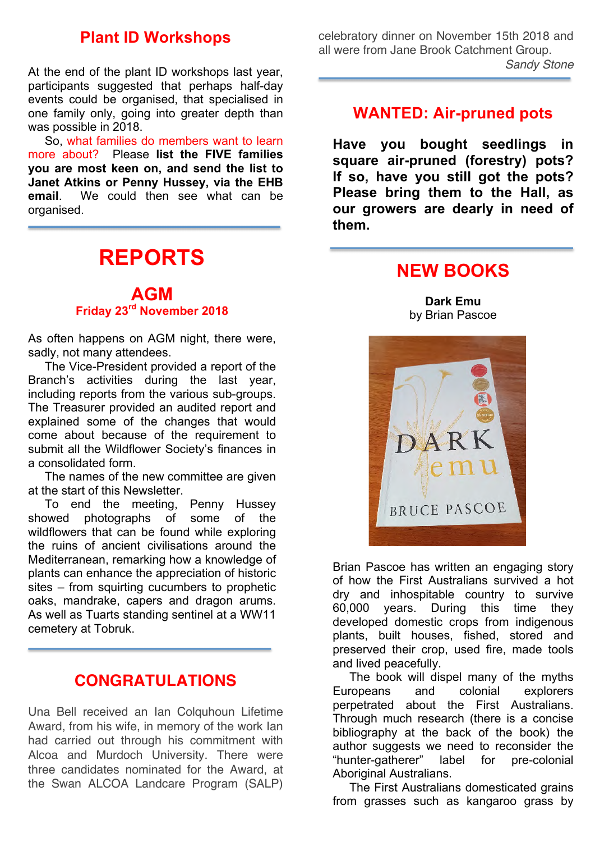### **Plant ID Workshops**

At the end of the plant ID workshops last year, participants suggested that perhaps half-day events could be organised, that specialised in one family only, going into greater depth than was possible in 2018.

 So, what families do members want to learn more about? Please **list the FIVE families you are most keen on, and send the list to Janet Atkins or Penny Hussey, via the EHB email**. We could then see what can be organised.

# **REPORTS**

### **AGM Friday 23rd November 2018**

As often happens on AGM night, there were, sadly, not many attendees.

 The Vice-President provided a report of the Branch's activities during the last year, including reports from the various sub-groups. The Treasurer provided an audited report and explained some of the changes that would come about because of the requirement to submit all the Wildflower Society's finances in a consolidated form.

 The names of the new committee are given at the start of this Newsletter.

 To end the meeting, Penny Hussey showed photographs of some of the wildflowers that can be found while exploring the ruins of ancient civilisations around the Mediterranean, remarking how a knowledge of plants can enhance the appreciation of historic sites – from squirting cucumbers to prophetic oaks, mandrake, capers and dragon arums. As well as Tuarts standing sentinel at a WW11 cemetery at Tobruk.

### **CONGRATULATIONS**

Una Bell received an Ian Colquhoun Lifetime Award, from his wife, in memory of the work Ian had carried out through his commitment with Alcoa and Murdoch University. There were three candidates nominated for the Award, at the Swan ALCOA Landcare Program (SALP) celebratory dinner on November 15th 2018 and all were from Jane Brook Catchment Group. *Sandy Stone*

### **WANTED: Air-pruned pots**

**Have you bought seedlings in square air-pruned (forestry) pots? If so, have you still got the pots? Please bring them to the Hall, as our growers are dearly in need of them.**

### **NEW BOOKS**

**Dark Emu** by Brian Pascoe



Brian Pascoe has written an engaging story of how the First Australians survived a hot dry and inhospitable country to survive 60,000 years. During this time they developed domestic crops from indigenous plants, built houses, fished, stored and preserved their crop, used fire, made tools and lived peacefully.

 The book will dispel many of the myths Europeans and colonial explorers perpetrated about the First Australians. Through much research (there is a concise bibliography at the back of the book) the author suggests we need to reconsider the "hunter-gatherer" label for pre-colonial Aboriginal Australians.

 The First Australians domesticated grains from grasses such as kangaroo grass by